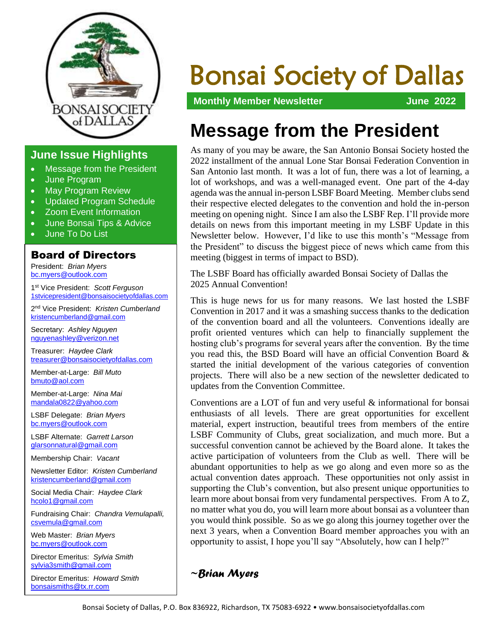

#### **June Issue Highlights**

- Message from the President
- June Program
- May Program Review
- Updated Program Schedule
- Zoom Event Information
- June Bonsai Tips & Advice
- June To Do List

#### Board of Directors

President: *Brian Myers* [bc.myers@outlook.com](mailto:bc.myers@outlook.com)

1 st Vice President: *Scott Ferguson* [1stvicepresident@bonsaisocietyofdallas.com](mailto:1stvicepresident@bonsaisocietyofdallas.com.)

2 nd Vice President: *Kristen Cumberland* [kristencumberland@gmail.com](mailto:kristencumberland@gmail.com)

Secretary: *Ashley Nguyen* [nguyenashley@verizon.net](mailto:nguyenashley@verizon.net)

Treasurer: *Haydee Clark* [treasurer@bonsaisocietyofdallas.com](mailto:treasurer@bonsaisocietyofdallas.com)

Member-at-Large: *Bill Muto*  [bmuto@aol.com](mailto:bmuto@aol.com)

Member-at-Large: *Nina Mai* [mandala0822@yahoo.com](mailto:mandala0822@yahoo.com)

LSBF Delegate: *Brian Myers* [bc.myers@outlook.com](mailto:bc.myers@outlook.com)

LSBF Alternate: *Garrett Larson* [glarsonnatural@gmail.com](mailto:glarsonnatural@gmail.com)

Membership Chair: *Vacant*

Newsletter Editor: *Kristen Cumberland* [kristencumberland@gmail.com](mailto:kristencumberland@gmail.com)

Social Media Chair: *Haydee Clark* [hcolo1@gmail.com](mailto:hcolo1@gmail.com)

Fundraising Chair: *Chandra Vemulapalli,*  [csvemula@gmail.com](mailto:csvemula@gmail.com)

Web Master: *Brian Myers* [bc.myers@outlook.com](mailto:bc.myers@outlook.com)

Director Emeritus: *Sylvia Smith* [sylvia3smith@gmail.com](mailto:sylvia3smith@gmail.com)

Director Emeritus: *Howard Smith* [bonsaismiths@tx.rr.com](mailto:bonsaismiths@tx.rr.com)

# Bonsai Society of Dallas

**Monthly Member Newsletter Manufacture 10022** 

### **Message from the President**

As many of you may be aware, the San Antonio Bonsai Society hosted the 2022 installment of the annual Lone Star Bonsai Federation Convention in San Antonio last month. It was a lot of fun, there was a lot of learning, a lot of workshops, and was a well-managed event. One part of the 4-day agenda was the annual in-person LSBF Board Meeting. Member clubs send their respective elected delegates to the convention and hold the in-person meeting on opening night. Since I am also the LSBF Rep. I'll provide more details on news from this important meeting in my LSBF Update in this Newsletter below. However, I'd like to use this month's "Message from the President" to discuss the biggest piece of news which came from this meeting (biggest in terms of impact to BSD).

The LSBF Board has officially awarded Bonsai Society of Dallas the 2025 Annual Convention!

This is huge news for us for many reasons. We last hosted the LSBF Convention in 2017 and it was a smashing success thanks to the dedication of the convention board and all the volunteers. Conventions ideally are profit oriented ventures which can help to financially supplement the hosting club's programs for several years after the convention. By the time you read this, the BSD Board will have an official Convention Board & started the initial development of the various categories of convention projects. There will also be a new section of the newsletter dedicated to updates from the Convention Committee.

Conventions are a LOT of fun and very useful & informational for bonsai enthusiasts of all levels. There are great opportunities for excellent material, expert instruction, beautiful trees from members of the entire LSBF Community of Clubs, great socialization, and much more. But a successful convention cannot be achieved by the Board alone. It takes the active participation of volunteers from the Club as well. There will be abundant opportunities to help as we go along and even more so as the actual convention dates approach. These opportunities not only assist in supporting the Club's convention, but also present unique opportunities to learn more about bonsai from very fundamental perspectives. From A to Z, no matter what you do, you will learn more about bonsai as a volunteer than you would think possible. So as we go along this journey together over the next 3 years, when a Convention Board member approaches you with an opportunity to assist, I hope you'll say "Absolutely, how can I help?"

*~Brian Myers*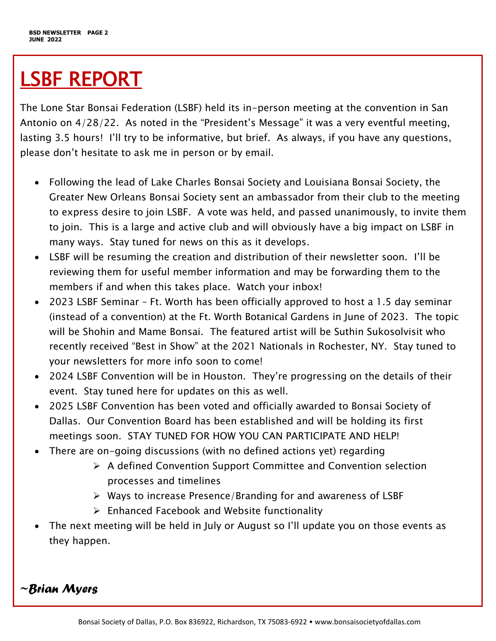# LSBF REPORT

The Lone Star Bonsai Federation (LSBF) held its in-person meeting at the convention in San Antonio on 4/28/22. As noted in the "President's Message" it was a very eventful meeting, lasting 3.5 hours! I'll try to be informative, but brief. As always, if you have any questions, please don't hesitate to ask me in person or by email.

- Following the lead of Lake Charles Bonsai Society and Louisiana Bonsai Society, the Greater New Orleans Bonsai Society sent an ambassador from their club to the meeting to express desire to join LSBF. A vote was held, and passed unanimously, to invite them to join. This is a large and active club and will obviously have a big impact on LSBF in many ways. Stay tuned for news on this as it develops.
- LSBF will be resuming the creation and distribution of their newsletter soon. I'll be reviewing them for useful member information and may be forwarding them to the members if and when this takes place. Watch your inbox!
- 2023 LSBF Seminar Ft. Worth has been officially approved to host a 1.5 day seminar (instead of a convention) at the Ft. Worth Botanical Gardens in June of 2023. The topic will be Shohin and Mame Bonsai. The featured artist will be Suthin Sukosolvisit who recently received "Best in Show" at the 2021 Nationals in Rochester, NY. Stay tuned to your newsletters for more info soon to come!
- 2024 LSBF Convention will be in Houston. They're progressing on the details of their event. Stay tuned here for updates on this as well.
- 2025 LSBF Convention has been voted and officially awarded to Bonsai Society of Dallas. Our Convention Board has been established and will be holding its first meetings soon. STAY TUNED FOR HOW YOU CAN PARTICIPATE AND HELP!
- There are on-going discussions (with no defined actions yet) regarding
	- ➢ A defined Convention Support Committee and Convention selection processes and timelines
	- ➢ Ways to increase Presence/Branding for and awareness of LSBF
	- ➢ Enhanced Facebook and Website functionality
- The next meeting will be held in July or August so I'll update you on those events as they happen.

#### $\overline{\phantom{a}}$ *~Brian Myers*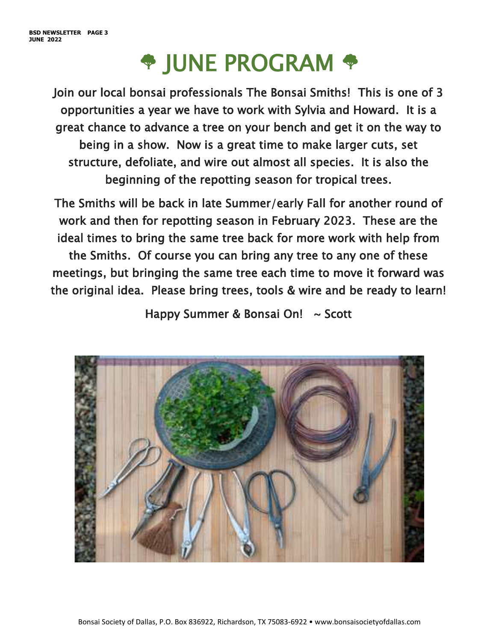# *S* JUNE PROGRAM  $\clubsuit$

Join our local bonsai professionals The Bonsai Smiths! This is one of 3 opportunities a year we have to work with Sylvia and Howard. It is a great chance to advance a tree on your bench and get it on the way to being in a show. Now is a great time to make larger cuts, set structure, defoliate, and wire out almost all species. It is also the beginning of the repotting season for tropical trees.

The Smiths will be back in late Summer/early Fall for another round of work and then for repotting season in February 2023. These are the ideal times to bring the same tree back for more work with help from the Smiths. Of course you can bring any tree to any one of these meetings, but bringing the same tree each time to move it forward was the original idea. Please bring trees, tools & wire and be ready to learn!

Happy Summer & Bonsai On! ~ Scott

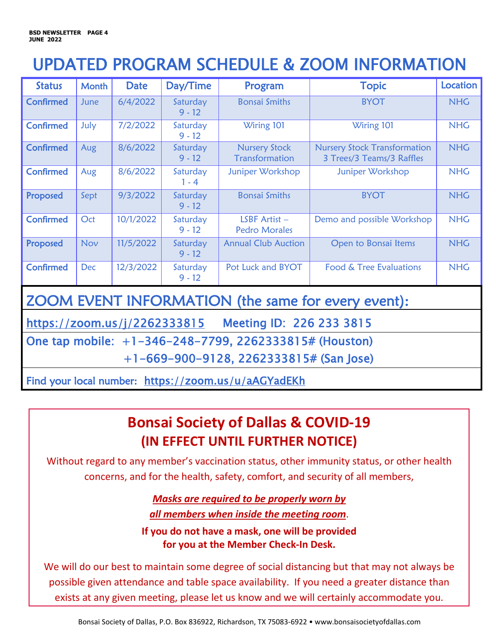### UPDATED PROGRAM SCHEDULE & ZOOM INFORMATION

| <b>Status</b>                                             | <b>Month</b> | <b>Date</b> | Day/Time             | Program                                       | <b>Topic</b>                                                     | Location   |  |  |
|-----------------------------------------------------------|--------------|-------------|----------------------|-----------------------------------------------|------------------------------------------------------------------|------------|--|--|
| Confirmed                                                 | June         | 6/4/2022    | Saturday<br>$9 - 12$ | <b>Bonsai Smiths</b>                          | <b>BYOT</b>                                                      | <b>NHG</b> |  |  |
| Confirmed                                                 | July         | 7/2/2022    | Saturday<br>$9 - 12$ | Wiring 101                                    | Wiring 101                                                       | <b>NHG</b> |  |  |
| Confirmed                                                 | Aug          | 8/6/2022    | Saturday<br>$9 - 12$ | <b>Nursery Stock</b><br><b>Transformation</b> | <b>Nursery Stock Transformation</b><br>3 Trees/3 Teams/3 Raffles | <b>NHG</b> |  |  |
| Confirmed                                                 | Aug          | 8/6/2022    | Saturday<br>$1 - 4$  | Juniper Workshop                              | Juniper Workshop                                                 | <b>NHG</b> |  |  |
| Proposed                                                  | Sept         | 9/3/2022    | Saturday<br>$9 - 12$ | <b>Bonsai Smiths</b>                          | <b>BYOT</b>                                                      | <b>NHG</b> |  |  |
| Confirmed                                                 | Oct          | 10/1/2022   | Saturday<br>$9 - 12$ | LSBF $Artist -$<br><b>Pedro Morales</b>       | Demo and possible Workshop                                       | <b>NHG</b> |  |  |
| Proposed                                                  | Nov          | 11/5/2022   | Saturday<br>$9 - 12$ | <b>Annual Club Auction</b>                    | Open to Bonsai Items                                             | <b>NHG</b> |  |  |
| Confirmed                                                 | <b>Dec</b>   | 12/3/2022   | Saturday<br>$9 - 12$ | Pot Luck and BYOT                             | Food & Tree Evaluations                                          | <b>NHG</b> |  |  |
| ZOOM EVENT INFORMATION (the same for every event):        |              |             |                      |                                               |                                                                  |            |  |  |
| https://zoom.us/j/2262333815 Meeting ID: 226 233 3815     |              |             |                      |                                               |                                                                  |            |  |  |
| One tap mobile: $+1-346-248-7799$ , 2262333815# (Houston) |              |             |                      |                                               |                                                                  |            |  |  |
| $+1-669-900-9128$ , 2262333815# (San Jose)                |              |             |                      |                                               |                                                                  |            |  |  |
| Find your local number: https://zoom.us/u/aAGYadEKh       |              |             |                      |                                               |                                                                  |            |  |  |

### **Bonsai Society of Dallas & COVID-19 (IN EFFECT UNTIL FURTHER NOTICE)**

Without regard to any member's vaccination status, other immunity status, or other health concerns, and for the health, safety, comfort, and security of all members,

> *Masks are required to be properly worn by all members when inside the meeting room*.

**If you do not have a mask, one will be provided for you at the Member Check-In Desk.**

We will do our best to maintain some degree of social distancing but that may not always be possible given attendance and table space availability. If you need a greater distance than exists at any given meeting, please let us know and we will certainly accommodate you.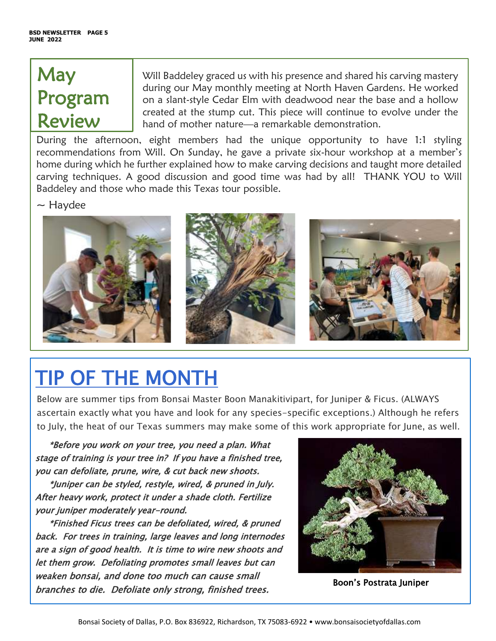## May May Program Program Review

Will Baddeley graced us with his presence and shared his carving mastery during our May monthly meeting at North Haven Gardens. He worked on a slant-style Cedar Elm with deadwood near the base and a hollow created at the stump cut. This piece will continue to evolve under the hand of mother nature—a remarkable demonstration.

During the afternoon, eight members had the unique opportunity to have 1:1 styling recommendations from Will. On Sunday, he gave a private six-hour workshop at a member's home during which he further explained how to make carving decisions and taught more detailed carving techniques. A good discussion and good time was had by all! THANK YOU to Will Baddeley and those who made this Texas tour possible.

#### $\sim$  Haydee

Ï



## TIP OF THE MONTH

Below are summer tips from Bonsai Master Boon Manakitivipart, for Juniper & Ficus. (ALWAYS ascertain exactly what you have and look for any species-specific exceptions.) Although he refers to July, the heat of our Texas summers may make some of this work appropriate for June, as well.

 \*Before you work on your tree, you need a plan. What stage of training is your tree in? If you have a finished tree, you can defoliate, prune, wire, & cut back new shoots.

 \*Juniper can be styled, restyle, wired, & pruned in July. After heavy work, protect it under a shade cloth. Fertilize your juniper moderately year-round.

 \*Finished Ficus trees can be defoliated, wired, & pruned back. For trees in training, large leaves and long internodes are a sign of good health. It is time to wire new shoots and let them grow. Defoliating promotes small leaves but can weaken bonsai, and done too much can cause small branches to die. Defoliate only strong, finished trees.



Boon's Postrata Juniper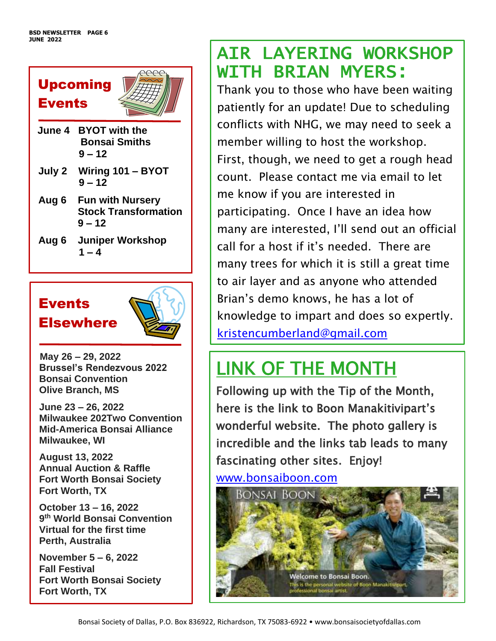### PAAG Upcoming Events Upcoming

- **June 4 BYOT with the Bonsai Smiths 9 – 12**
- **July 2 Wiring 101 – BYOT 9 – 12**
- **Aug 6 Fun with Nursery Stock Transformation 9 – 12**
- **Aug 6 Juniper Workshop**  $1 - 4$

### **Events Elsewhere**



 **May 26 – 29, 2022 Brussel's Rendezvous 2022 Bonsai Convention Olive Branch, MS**

**June 23 – 26, 2022 Milwaukee 202Two Convention Mid-America Bonsai Alliance Milwaukee, WI**

**August 13, 2022 Annual Auction & Raffle Fort Worth Bonsai Society Fort Worth, TX**

**October 13 – 16, 2022 9 th World Bonsai Convention Virtual for the first time Perth, Australia**

**November 5 – 6, 2022 Fall Festival Fort Worth Bonsai Society Fort Worth, TX**

### AIR LAYERING WORKSHOP WITH BRIAN MYERS:

Thank you to those who have been waiting patiently for an update! Due to scheduling conflicts with NHG, we may need to seek a member willing to host the workshop. First, though, we need to get a rough head count. Please contact me via email to let me know if you are interested in participating. Once I have an idea how many are interested, I'll send out an official call for a host if it's needed. There are many trees for which it is still a great time to air layer and as anyone who attended Brian's demo knows, he has a lot of knowledge to impart and does so expertly. [kristencumberland@gmail.com](mailto:kristencumberland@gmail.com)

## LINK OF THE MONTH

Following up with the Tip of the Month, here is the link to Boon Manakitivipart's wonderful website. The photo gallery is incredible and the links tab leads to many fascinating other sites. Enjoy!

[www.bonsaiboon.com](http://www.bonsaiboon.com/)

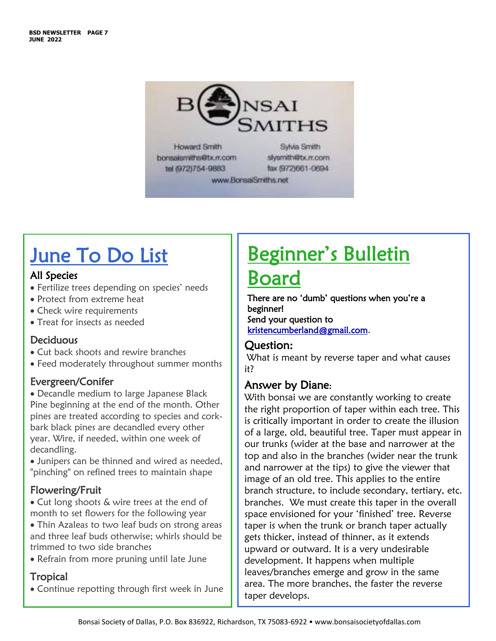

Howard Smith bonsaismiths@tx.n.com tel (972)754-9883

Sylvia Smith slysmith@tx.rr.com fax (972) 661-0694

#### www.BonsaiSmiths.net

## June To Do List

#### All Species

- Fertilize trees depending on species' needs
- Protect from extreme heat
- Check wire requirements
- Treat for insects as needed

### Deciduous

- Cut back shoots and rewire branches
- Feed moderately throughout summer months

### Evergreen/Conifer

- Decandle medium to large Japanese Black Pine beginning at the end of the month. Other pines are treated according to species and corkbark black pines are decandled every other year. Wire, if needed, within one week of decandling.
- Junipers can be thinned and wired as needed, "pinching" on refined trees to maintain shape

### Flowering/Fruit

- Cut long shoots & wire trees at the end of month to set flowers for the following year
- Thin Azaleas to two leaf buds on strong areas and three leaf buds otherwise; whirls should be trimmed to two side branches
- Refrain from more pruning until late June

#### Tropical

• Continue repotting through first week in June

## Beginner's Bulletin Board

There are no 'dumb' questions when you're a beginner! Send your question to [kristencumberland@gmail.com.](mailto:kristencumberland@gmail.com)

### Question:

What is meant by reverse taper and what causes it?

### Answer by Diane:

With bonsai we are constantly working to create the right proportion of taper within each tree. This is critically important in order to create the illusion of a large, old, beautiful tree. Taper must appear in our trunks (wider at the base and narrower at the top and also in the branches (wider near the trunk and narrower at the tips) to give the viewer that image of an old tree. This applies to the entire branch structure, to include secondary, tertiary, etc. branches. We must create this taper in the overall space envisioned for your 'finished' tree. Reverse taper is when the trunk or branch taper actually gets thicker, instead of thinner, as it extends upward or outward. It is a very undesirable development. It happens when multiple leaves/branches emerge and grow in the same area. The more branches, the faster the reverse taper develops.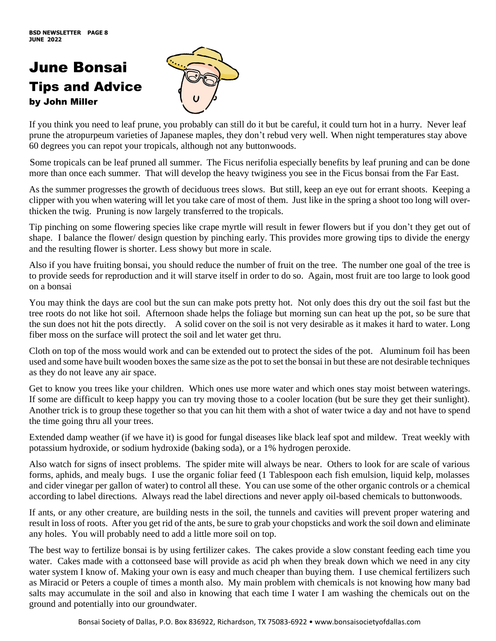### June Bonsai Tips and Advice by John Miller



If you think you need to leaf prune, you probably can still do it but be careful, it could turn hot in a hurry. Never leaf prune the atropurpeum varieties of Japanese maples, they don't rebud very well. When night temperatures stay above 60 degrees you can repot your tropicals, although not any buttonwoods.

Some tropicals can be leaf pruned all summer. The Ficus nerifolia especially benefits by leaf pruning and can be done more than once each summer. That will develop the heavy twiginess you see in the Ficus bonsai from the Far East.

As the summer progresses the growth of deciduous trees slows. But still, keep an eye out for errant shoots. Keeping a clipper with you when watering will let you take care of most of them. Just like in the spring a shoot too long will overthicken the twig. Pruning is now largely transferred to the tropicals.

Tip pinching on some flowering species like crape myrtle will result in fewer flowers but if you don't they get out of shape. I balance the flower/ design question by pinching early. This provides more growing tips to divide the energy and the resulting flower is shorter. Less showy but more in scale.

Also if you have fruiting bonsai, you should reduce the number of fruit on the tree. The number one goal of the tree is to provide seeds for reproduction and it will starve itself in order to do so. Again, most fruit are too large to look good on a bonsai

You may think the days are cool but the sun can make pots pretty hot. Not only does this dry out the soil fast but the tree roots do not like hot soil. Afternoon shade helps the foliage but morning sun can heat up the pot, so be sure that the sun does not hit the pots directly. A solid cover on the soil is not very desirable as it makes it hard to water. Long fiber moss on the surface will protect the soil and let water get thru. Ī

Cloth on top of the moss would work and can be extended out to protect the sides of the pot. Aluminum foil has been used and some have built wooden boxes the same size as the pot to set the bonsai in but these are not desirable techniques as they do not leave any air space.

Get to know you trees like your children. Which ones use more water and which ones stay moist between waterings. If some are difficult to keep happy you can try moving those to a cooler location (but be sure they get their sunlight). Another trick is to group these together so that you can hit them with a shot of water twice a day and not have to spend the time going thru all your trees.

Extended damp weather (if we have it) is good for fungal diseases like black leaf spot and mildew. Treat weekly with potassium hydroxide, or sodium hydroxide (baking soda), or a 1% hydrogen peroxide.

Also watch for signs of insect problems. The spider mite will always be near. Others to look for are scale of various forms, aphids, and mealy bugs. I use the organic foliar feed (1 Tablespoon each fish emulsion, liquid kelp, molasses and cider vinegar per gallon of water) to control all these. You can use some of the other organic controls or a chemical according to label directions. Always read the label directions and never apply oil-based chemicals to buttonwoods.

If ants, or any other creature, are building nests in the soil, the tunnels and cavities will prevent proper watering and result in loss of roots. After you get rid of the ants, be sure to grab your chopsticks and work the soil down and eliminate any holes. You will probably need to add a little more soil on top.

The best way to fertilize bonsai is by using fertilizer cakes. The cakes provide a slow constant feeding each time you water. Cakes made with a cottonseed base will provide as acid ph when they break down which we need in any city water system I know of. Making your own is easy and much cheaper than buying them. I use chemical fertilizers such as Miracid or Peters a couple of times a month also. My main problem with chemicals is not knowing how many bad salts may accumulate in the soil and also in knowing that each time I water I am washing the chemicals out on the ground and potentially into our groundwater.